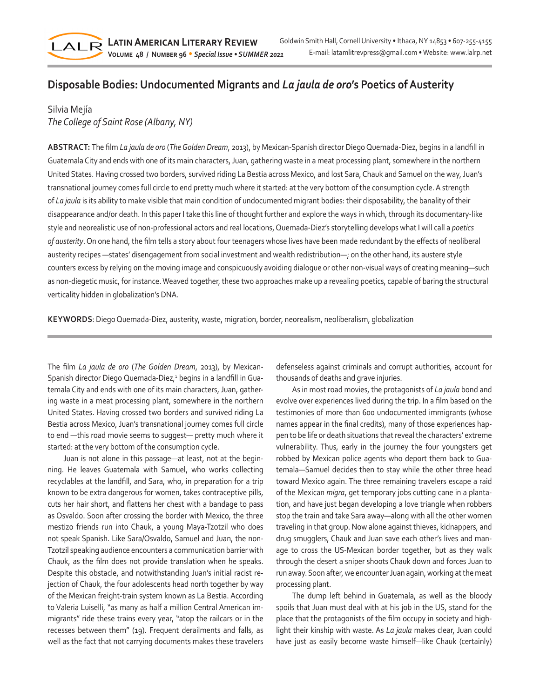

## **Disposable Bodies: Undocumented Migrants and** *La jaula de oro***'s Poetics of Austerity**

## Silvia Mejía *The College of Saint Rose (Albany, NY)*

**ABSTRACT:** The film *La jaula de oro* (*The Golden Dream*, 2013), by Mexican-Spanish director Diego Quemada-Diez, begins in a landfill in Guatemala City and ends with one of its main characters, Juan, gathering waste in a meat processing plant, somewhere in the northern United States. Having crossed two borders, survived riding La Bestia across Mexico, and lost Sara, Chauk and Samuel on the way, Juan's transnational journey comes full circle to end pretty much where it started: at the very bottom of the consumption cycle. A strength of *La jaula* is its ability to make visible that main condition of undocumented migrant bodies: their disposability, the banality of their disappearance and/or death. In this paper I take this line of thought further and explore the ways in which, through its documentary-like style and neorealistic use of non-professional actors and real locations, Quemada-Diez's storytelling develops what I will call a *poetics of austerity*. On one hand, the film tells a story about four teenagers whose lives have been made redundant by the effects of neoliberal austerity recipes —states' disengagement from social investment and wealth redistribution—; on the other hand, its austere style counters excess by relying on the moving image and conspicuously avoiding dialogue or other non-visual ways of creating meaning—such as non-diegetic music, for instance. Weaved together, these two approaches make up a revealing poetics, capable of baring the structural verticality hidden in globalization's DNA.

**KEYWORDS**: Diego Quemada-Diez, austerity, waste, migration, border, neorealism, neoliberalism, globalization

The film *La jaula de oro* (*The Golden Dream*, 2013), by Mexican-Spanish director Diego Quemada-Diez,<sup>1</sup> begins in a landfill in Guatemala City and ends with one of its main characters, Juan, gathering waste in a meat processing plant, somewhere in the northern United States. Having crossed two borders and survived riding La Bestia across Mexico, Juan's transnational journey comes full circle to end —this road movie seems to suggest— pretty much where it started: at the very bottom of the consumption cycle.

Juan is not alone in this passage—at least, not at the beginning. He leaves Guatemala with Samuel, who works collecting recyclables at the landfill, and Sara, who, in preparation for a trip known to be extra dangerous for women, takes contraceptive pills, cuts her hair short, and flattens her chest with a bandage to pass as Osvaldo. Soon after crossing the border with Mexico, the three mestizo friends run into Chauk, a young Maya-Tzotzil who does not speak Spanish. Like Sara/Osvaldo, Samuel and Juan, the non-Tzotzil speaking audience encounters a communication barrier with Chauk, as the film does not provide translation when he speaks. Despite this obstacle, and notwithstanding Juan's initial racist rejection of Chauk, the four adolescents head north together by way of the Mexican freight-train system known as La Bestia. According to Valeria Luiselli, "as many as half a million Central American immigrants" ride these trains every year, "atop the railcars or in the recesses between them" (19). Frequent derailments and falls, as well as the fact that not carrying documents makes these travelers defenseless against criminals and corrupt authorities, account for thousands of deaths and grave injuries.

As in most road movies, the protagonists of *La jaula* bond and evolve over experiences lived during the trip. In a film based on the testimonies of more than 600 undocumented immigrants (whose names appear in the final credits), many of those experiences happen to be life or death situations that reveal the characters' extreme vulnerability. Thus, early in the journey the four youngsters get robbed by Mexican police agents who deport them back to Guatemala—Samuel decides then to stay while the other three head toward Mexico again. The three remaining travelers escape a raid of the Mexican *migra*, get temporary jobs cutting cane in a plantation, and have just began developing a love triangle when robbers stop the train and take Sara away—along with all the other women traveling in that group. Now alone against thieves, kidnappers, and drug smugglers, Chauk and Juan save each other's lives and manage to cross the US-Mexican border together, but as they walk through the desert a sniper shoots Chauk down and forces Juan to run away. Soon after, we encounter Juan again, working at the meat processing plant.

The dump left behind in Guatemala, as well as the bloody spoils that Juan must deal with at his job in the US, stand for the place that the protagonists of the film occupy in society and highlight their kinship with waste. As *La jaula* makes clear, Juan could have just as easily become waste himself—like Chauk (certainly)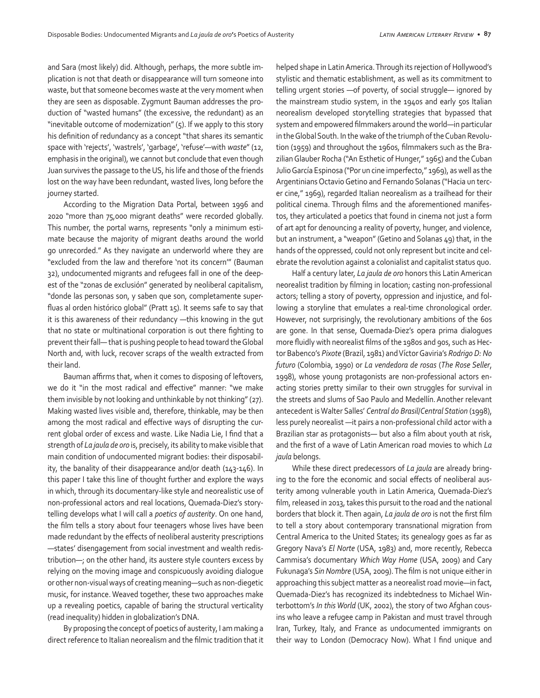and Sara (most likely) did. Although, perhaps, the more subtle implication is not that death or disappearance will turn someone into waste, but that someone becomes waste at the very moment when they are seen as disposable. Zygmunt Bauman addresses the production of "wasted humans" (the excessive, the redundant) as an "inevitable outcome of modernization" (5). If we apply to this story his definition of redundancy as a concept "that shares its semantic space with 'rejects', 'wastrels', 'garbage', 'refuse'—with *waste*" (12, emphasis in the original), we cannot but conclude that even though Juan survives the passage to the US, his life and those of the friends lost on the way have been redundant, wasted lives, long before the journey started.

According to the Migration Data Portal, between 1996 and 2020 "more than 75,000 migrant deaths" were recorded globally. This number, the portal warns, represents "only a minimum estimate because the majority of migrant deaths around the world go unrecorded." As they navigate an underworld where they are "excluded from the law and therefore 'not its concern'" (Bauman 32), undocumented migrants and refugees fall in one of the deepest of the "zonas de exclusión" generated by neoliberal capitalism, "donde las personas son, y saben que son, completamente superfluas al orden histórico global" (Pratt 15). It seems safe to say that it is this awareness of their redundancy —this knowing in the gut that no state or multinational corporation is out there fighting to prevent their fall— that is pushing people to head toward the Global North and, with luck, recover scraps of the wealth extracted from their land.

Bauman affirms that, when it comes to disposing of leftovers, we do it "in the most radical and effective" manner: "we make them invisible by not looking and unthinkable by not thinking" (27). Making wasted lives visible and, therefore, thinkable, may be then among the most radical and effective ways of disrupting the current global order of excess and waste. Like Nadia Lie, I find that a strength of *La jaula de oro* is, precisely, its ability to make visible that main condition of undocumented migrant bodies: their disposability, the banality of their disappearance and/or death (143-146). In this paper I take this line of thought further and explore the ways in which, through its documentary-like style and neorealistic use of non-professional actors and real locations, Quemada-Diez's storytelling develops what I will call a *poetics of austerity*. On one hand, the film tells a story about four teenagers whose lives have been made redundant by the effects of neoliberal austerity prescriptions —states' disengagement from social investment and wealth redistribution—; on the other hand, its austere style counters excess by relying on the moving image and conspicuously avoiding dialogue or other non-visual ways of creating meaning—such as non-diegetic music, for instance. Weaved together, these two approaches make up a revealing poetics, capable of baring the structural verticality (read inequality) hidden in globalization's DNA.

By proposing the concept of poetics of austerity, I am making a direct reference to Italian neorealism and the filmic tradition that it helped shape in Latin America. Through its rejection of Hollywood's stylistic and thematic establishment, as well as its commitment to telling urgent stories —of poverty, of social struggle— ignored by the mainstream studio system, in the 1940s and early 50s Italian neorealism developed storytelling strategies that bypassed that system and empowered filmmakers around the world—in particular in the Global South. In the wake of the triumph of the Cuban Revolution (1959) and throughout the 1960s, filmmakers such as the Brazilian Glauber Rocha ("An Esthetic of Hunger," 1965) and the Cuban Julio García Espinosa ("Por un cine imperfecto," 1969), as well as the Argentinians Octavio Getino and Fernando Solanas ("Hacia un tercer cine," 1969), regarded Italian neorealism as a trailhead for their political cinema. Through films and the aforementioned manifestos, they articulated a poetics that found in cinema not just a form of art apt for denouncing a reality of poverty, hunger, and violence, but an instrument, a "weapon" (Getino and Solanas 49) that, in the hands of the oppressed, could not only represent but incite and celebrate the revolution against a colonialist and capitalist status quo.

Half a century later, *La jaula de oro* honors this Latin American neorealist tradition by filming in location; casting non-professional actors; telling a story of poverty, oppression and injustice, and following a storyline that emulates a real-time chronological order. However, not surprisingly, the revolutionary ambitions of the 60s are gone. In that sense, Quemada-Diez's opera prima dialogues more fluidly with neorealist films of the 1980s and 90s, such as Hector Babenco's *Pixote* (Brazil, 1981) and Víctor Gaviria's *Rodrigo D: No futuro* (Colombia, 1990) or *La vendedora de rosas* (*The Rose Seller*, 1998), whose young protagonists are non-professional actors enacting stories pretty similar to their own struggles for survival in the streets and slums of Sao Paulo and Medellín. Another relevant antecedent is Walter Salles' *Central do Brasil*/*Central Station* (1998), less purely neorealist —it pairs a non-professional child actor with a Brazilian star as protagonists— but also a film about youth at risk, and the first of a wave of Latin American road movies to which *La jaula* belongs.

While these direct predecessors of *La jaula* are already bringing to the fore the economic and social effects of neoliberal austerity among vulnerable youth in Latin America, Quemada-Diez's film, released in 2013, takes this pursuit to the road and the national borders that block it. Then again, *La jaula de oro* is not the first film to tell a story about contemporary transnational migration from Central America to the United States; its genealogy goes as far as Gregory Nava's *El Norte* (USA, 1983) and, more recently, Rebecca Cammisa's documentary *Which Way Home* (USA, 2009) and Cary Fukunaga's *Sin Nombre* (USA, 2009). The film is not unique either in approaching this subject matter as a neorealist road movie—in fact, Quemada-Diez's has recognized its indebtedness to Michael Winterbottom's *In this World* (UK, 2002), the story of two Afghan cousins who leave a refugee camp in Pakistan and must travel through Iran, Turkey, Italy, and France as undocumented immigrants on their way to London (Democracy Now). What I find unique and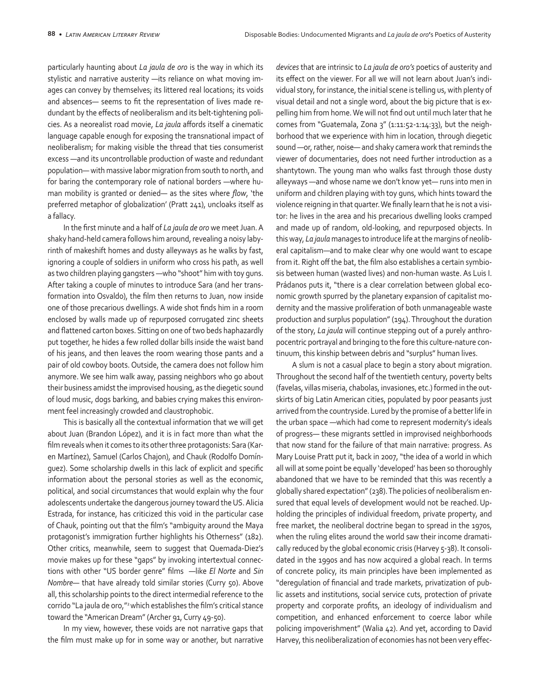particularly haunting about *La jaula de oro* is the way in which its stylistic and narrative austerity —its reliance on what moving images can convey by themselves; its littered real locations; its voids and absences— seems to fit the representation of lives made redundant by the effects of neoliberalism and its belt-tightening policies. As a neorealist road movie, *La jaula* affords itself a cinematic language capable enough for exposing the transnational impact of neoliberalism; for making visible the thread that ties consumerist excess —and its uncontrollable production of waste and redundant population— with massive labor migration from south to north, and for baring the contemporary role of national borders —where human mobility is granted or denied— as the sites where *flow*, 'the preferred metaphor of globalization' (Pratt 241), uncloaks itself as a fallacy.

In the first minute and a half of *La jaula de oro* we meet Juan. A shaky hand-held camera follows him around, revealing a noisy labyrinth of makeshift homes and dusty alleyways as he walks by fast, ignoring a couple of soldiers in uniform who cross his path, as well as two children playing gangsters —who "shoot" him with toy guns. After taking a couple of minutes to introduce Sara (and her transformation into Osvaldo), the film then returns to Juan, now inside one of those precarious dwellings. A wide shot finds him in a room enclosed by walls made up of repurposed corrugated zinc sheets and flattened carton boxes. Sitting on one of two beds haphazardly put together, he hides a few rolled dollar bills inside the waist band of his jeans, and then leaves the room wearing those pants and a pair of old cowboy boots. Outside, the camera does not follow him anymore. We see him walk away, passing neighbors who go about their business amidst the improvised housing, as the diegetic sound of loud music, dogs barking, and babies crying makes this environment feel increasingly crowded and claustrophobic.

This is basically all the contextual information that we will get about Juan (Brandon López), and it is in fact more than what the film reveals when it comes to its other three protagonists: Sara (Karen Martínez), Samuel (Carlos Chajon), and Chauk (Rodolfo Domínguez). Some scholarship dwells in this lack of explicit and specific information about the personal stories as well as the economic, political, and social circumstances that would explain why the four adolescents undertake the dangerous journey toward the US. Alicia Estrada, for instance, has criticized this void in the particular case of Chauk, pointing out that the film's "ambiguity around the Maya protagonist's immigration further highlights his Otherness" (182). Other critics, meanwhile, seem to suggest that Quemada-Diez's movie makes up for these "gaps" by invoking intertextual connections with other "US border genre" films —like *El Norte* and *Sin Nombre*— that have already told similar stories (Curry 50). Above all, this scholarship points to the direct intermedial reference to the corrido "La jaula de oro,"<sup>2</sup> which establishes the film's critical stance toward the "American Dream" (Archer 91, Curry 49-50).

In my view, however, these voids are not narrative gaps that the film must make up for in some way or another, but narrative

*devices* that are intrinsic to *La jaula de oro's* poetics of austerity and its effect on the viewer. For all we will not learn about Juan's individual story, for instance, the initial scene is telling us, with plenty of visual detail and not a single word, about the big picture that is expelling him from home. We will not find out until much later that he comes from "Guatemala, Zona 3" (1:11:52-1:14:33), but the neighborhood that we experience with him in location, through diegetic sound —or, rather, noise— and shaky camera work that reminds the viewer of documentaries, does not need further introduction as a shantytown. The young man who walks fast through those dusty alleyways —and whose name we don't know yet— runs into men in uniform and children playing with toy guns, which hints toward the violence reigning in that quarter. We finally learn that he is not a visitor: he lives in the area and his precarious dwelling looks cramped and made up of random, old-looking, and repurposed objects. In this way, *La jaula* manages to introduce life at the margins of neoliberal capitalism—and to make clear why one would want to escape from it. Right off the bat, the film also establishes a certain symbiosis between human (wasted lives) and non-human waste. As Luis I. Prádanos puts it, "there is a clear correlation between global economic growth spurred by the planetary expansion of capitalist modernity and the massive proliferation of both unmanageable waste production and surplus population" (194). Throughout the duration of the story, *La jaula* will continue stepping out of a purely anthropocentric portrayal and bringing to the fore this culture-nature continuum, this kinship between debris and "surplus" human lives.

A slum is not a casual place to begin a story about migration. Throughout the second half of the twentieth century, poverty belts (favelas, villas miseria, chabolas, invasiones, etc.) formed in the outskirts of big Latin American cities, populated by poor peasants just arrived from the countryside. Lured by the promise of a better life in the urban space —which had come to represent modernity's ideals of progress— these migrants settled in improvised neighborhoods that now stand for the failure of that main narrative: progress. As Mary Louise Pratt put it, back in 2007, "the idea of a world in which all will at some point be equally 'developed' has been so thoroughly abandoned that we have to be reminded that this was recently a globally shared expectation" (238). The policies of neoliberalism ensured that equal levels of development would not be reached.Upholding the principles of individual freedom, private property, and free market, the neoliberal doctrine began to spread in the 1970s, when the ruling elites around the world saw their income dramatically reduced by the global economic crisis (Harvey 5-38). It consolidated in the 1990s and has now acquired a global reach. In terms of concrete policy, its main principles have been implemented as "deregulation of financial and trade markets, privatization of public assets and institutions, social service cuts, protection of private property and corporate profits, an ideology of individualism and competition, and enhanced enforcement to coerce labor while policing impoverishment" (Walia 42). And yet, according to David Harvey, this neoliberalization of economies has not been very effec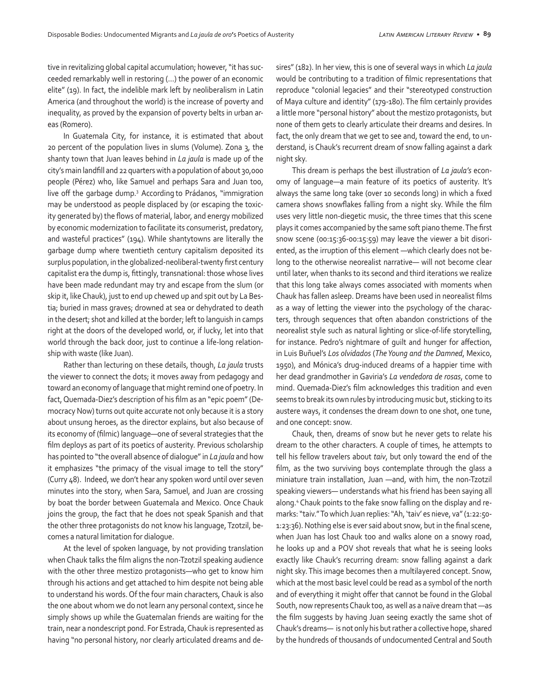tive in revitalizing global capital accumulation; however, "it has succeeded remarkably well in restoring (…) the power of an economic elite" (19). In fact, the indelible mark left by neoliberalism in Latin America (and throughout the world) is the increase of poverty and inequality, as proved by the expansion of poverty belts in urban areas (Romero).

In Guatemala City, for instance, it is estimated that about 20 percent of the population lives in slums (Volume). Zona 3, the shanty town that Juan leaves behind in *La jaula* is made up of the city's main landfill and 22 quarters with a population of about 30,000 people (Pérez) who, like Samuel and perhaps Sara and Juan too, live off the garbage dump.3 According to Prádanos, "immigration may be understood as people displaced by (or escaping the toxicity generated by) the flows of material, labor, and energy mobilized by economic modernization to facilitate its consumerist, predatory, and wasteful practices" (194). While shantytowns are literally the garbage dump where twentieth century capitalism deposited its surplus population, in the globalized-neoliberal-twenty first century capitalist era the dump is, fittingly, transnational: those whose lives have been made redundant may try and escape from the slum (or skip it, like Chauk), just to end up chewed up and spit out by La Bestia; buried in mass graves; drowned at sea or dehydrated to death in the desert; shot and killed at the border; left to languish in camps right at the doors of the developed world, or, if lucky, let into that world through the back door, just to continue a life-long relationship with waste (like Juan).

Rather than lecturing on these details, though, *La jaula* trusts the viewer to connect the dots; it moves away from pedagogy and toward an economy of language that might remind one of poetry. In fact, Quemada-Diez's description of his film as an "epic poem" (Democracy Now) turns out quite accurate not only because it is a story about unsung heroes, as the director explains, but also because of its economy of (filmic) language—one of several strategies that the film deploys as part of its poetics of austerity. Previous scholarship has pointed to "the overall absence of dialogue" in *La jaula* and how it emphasizes "the primacy of the visual image to tell the story" (Curry 48). Indeed, we don't hear any spoken word until over seven minutes into the story, when Sara, Samuel, and Juan are crossing by boat the border between Guatemala and Mexico. Once Chauk joins the group, the fact that he does not speak Spanish and that the other three protagonists do not know his language, Tzotzil, becomes a natural limitation for dialogue.

At the level of spoken language, by not providing translation when Chauk talks the film aligns the non-Tzotzil speaking audience with the other three mestizo protagonists—who get to know him through his actions and get attached to him despite not being able to understand his words. Of the four main characters, Chauk is also the one about whom we do not learn any personal context, since he simply shows up while the Guatemalan friends are waiting for the train, near a nondescript pond. For Estrada, Chauk is represented as having "no personal history, nor clearly articulated dreams and desires" (182). In her view, this is one of several ways in which *La jaula* would be contributing to a tradition of filmic representations that reproduce "colonial legacies" and their "stereotyped construction of Maya culture and identity" (179-180). The film certainly provides a little more "personal history" about the mestizo protagonists, but none of them gets to clearly articulate their dreams and desires. In fact, the only dream that we get to see and, toward the end, to understand, is Chauk's recurrent dream of snow falling against a dark night sky.

This dream is perhaps the best illustration of *La jaula's* economy of language—a main feature of its poetics of austerity. It's always the same long take (over 10 seconds long) in which a fixed camera shows snowflakes falling from a night sky. While the film uses very little non-diegetic music, the three times that this scene plays it comes accompanied by the same soft piano theme. The first snow scene (00:15:36-00:15:59) may leave the viewer a bit disoriented, as the irruption of this element —which clearly does not belong to the otherwise neorealist narrative— will not become clear until later, when thanks to its second and third iterations we realize that this long take always comes associated with moments when Chauk has fallen asleep. Dreams have been used in neorealist films as a way of letting the viewer into the psychology of the characters, through sequences that often abandon constrictions of the neorealist style such as natural lighting or slice-of-life storytelling, for instance. Pedro's nightmare of guilt and hunger for affection, in Luis Buñuel's *Los olvidados* (*The Young and the Damned*, Mexico, 1950), and Mónica's drug-induced dreams of a happier time with her dead grandmother in Gaviria's *La vendedora de rosas*, come to mind. Quemada-Diez's film acknowledges this tradition and even seems to break its own rules by introducing music but, sticking to its austere ways, it condenses the dream down to one shot, one tune, and one concept: snow.

Chauk, then, dreams of snow but he never gets to relate his dream to the other characters. A couple of times, he attempts to tell his fellow travelers about *taiv*, but only toward the end of the film, as the two surviving boys contemplate through the glass a miniature train installation, Juan —and, with him, the non-Tzotzil speaking viewers— understands what his friend has been saying all along.4 Chauk points to the fake snow falling on the display and remarks: "taiv." To which Juan replies: "Ah, 'taiv' es nieve, va" (1:22:50- 1:23:36). Nothing else is ever said about snow, but in the final scene, when Juan has lost Chauk too and walks alone on a snowy road, he looks up and a POV shot reveals that what he is seeing looks exactly like Chauk's recurring dream: snow falling against a dark night sky. This image becomes then a multilayered concept. Snow, which at the most basic level could be read as a symbol of the north and of everything it might offer that cannot be found in the Global South, now represents Chauk too, as well as a naïve dream that —as the film suggests by having Juan seeing exactly the same shot of Chauk's dreams— is not only his but rather a collective hope, shared by the hundreds of thousands of undocumented Central and South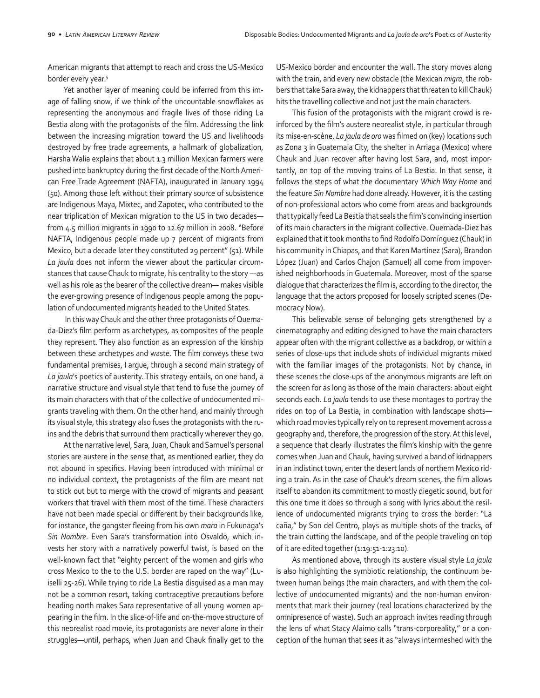American migrants that attempt to reach and cross the US-Mexico border every year.5

Yet another layer of meaning could be inferred from this image of falling snow, if we think of the uncountable snowflakes as representing the anonymous and fragile lives of those riding La Bestia along with the protagonists of the film. Addressing the link between the increasing migration toward the US and livelihoods destroyed by free trade agreements, a hallmark of globalization, Harsha Walia explains that about 1.3 million Mexican farmers were pushed into bankruptcy during the first decade of the North American Free Trade Agreement (NAFTA), inaugurated in January 1994 (50). Among those left without their primary source of subsistence are Indigenous Maya, Mixtec, and Zapotec, who contributed to the near triplication of Mexican migration to the US in two decades from 4.5 million migrants in 1990 to 12.67 million in 2008. "Before NAFTA, Indigenous people made up 7 percent of migrants from Mexico, but a decade later they constituted 29 percent" (51). While *La jaula* does not inform the viewer about the particular circumstances that cause Chauk to migrate, his centrality to the story —as well as his role as the bearer of the collective dream— makes visible the ever-growing presence of Indigenous people among the population of undocumented migrants headed to the United States.

 In this way Chauk and the other three protagonists of Quemada-Diez's film perform as archetypes, as composites of the people they represent. They also function as an expression of the kinship between these archetypes and waste. The film conveys these two fundamental premises, I argue, through a second main strategy of *La jaula*'s poetics of austerity. This strategy entails, on one hand, a narrative structure and visual style that tend to fuse the journey of its main characters with that of the collective of undocumented migrants traveling with them. On the other hand, and mainly through its visual style, this strategy also fuses the protagonists with the ruins and the debris that surround them practically wherever they go.

At the narrative level, Sara, Juan, Chauk and Samuel's personal stories are austere in the sense that, as mentioned earlier, they do not abound in specifics. Having been introduced with minimal or no individual context, the protagonists of the film are meant not to stick out but to merge with the crowd of migrants and peasant workers that travel with them most of the time. These characters have not been made special or different by their backgrounds like, for instance, the gangster fleeing from his own *mara* in Fukunaga's *Sin Nombre*. Even Sara's transformation into Osvaldo, which invests her story with a narratively powerful twist, is based on the well-known fact that "eighty percent of the women and girls who cross Mexico to the to the U.S. border are raped on the way" (Luiselli 25-26). While trying to ride La Bestia disguised as a man may not be a common resort, taking contraceptive precautions before heading north makes Sara representative of all young women appearing in the film. In the slice-of-life and on-the-move structure of this neorealist road movie, its protagonists are never alone in their struggles—until, perhaps, when Juan and Chauk finally get to the US-Mexico border and encounter the wall. The story moves along with the train, and every new obstacle (the Mexican *migra*, the robbers that take Sara away, the kidnappers that threaten to kill Chauk) hits the travelling collective and not just the main characters.

This fusion of the protagonists with the migrant crowd is reinforced by the film's austere neorealist style, in particular through its mise-en-scène. *La jaula de oro* was filmed on (key) locations such as Zona 3 in Guatemala City, the shelter in Arriaga (Mexico) where Chauk and Juan recover after having lost Sara, and, most importantly, on top of the moving trains of La Bestia. In that sense, it follows the steps of what the documentary *Which Way Home* and the feature *Sin Nombre* had done already. However, it is the casting of non-professional actors who come from areas and backgrounds that typically feed La Bestia that seals the film's convincing insertion of its main characters in the migrant collective. Quemada-Diez has explained that it took months to find Rodolfo Domínguez (Chauk) in his community in Chiapas, and that Karen Martínez (Sara), Brandon López (Juan) and Carlos Chajon (Samuel) all come from impoverished neighborhoods in Guatemala. Moreover, most of the sparse dialogue that characterizes the film is, according to the director, the language that the actors proposed for loosely scripted scenes (Democracy Now).

This believable sense of belonging gets strengthened by a cinematography and editing designed to have the main characters appear often with the migrant collective as a backdrop, or within a series of close-ups that include shots of individual migrants mixed with the familiar images of the protagonists. Not by chance, in these scenes the close-ups of the anonymous migrants are left on the screen for as long as those of the main characters: about eight seconds each. *La jaula* tends to use these montages to portray the rides on top of La Bestia, in combination with landscape shots which road movies typically rely on to represent movement across a geography and, therefore, the progression of the story. At this level, a sequence that clearly illustrates the film's kinship with the genre comes when Juan and Chauk, having survived a band of kidnappers in an indistinct town, enter the desert lands of northern Mexico riding a train. As in the case of Chauk's dream scenes, the film allows itself to abandon its commitment to mostly diegetic sound, but for this one time it does so through a song with lyrics about the resilience of undocumented migrants trying to cross the border: "La caña," by Son del Centro, plays as multiple shots of the tracks, of the train cutting the landscape, and of the people traveling on top of it are edited together (1:19:51-1:23:10).

As mentioned above, through its austere visual style *La jaula* is also highlighting the symbiotic relationship, the continuum between human beings (the main characters, and with them the collective of undocumented migrants) and the non-human environments that mark their journey (real locations characterized by the omnipresence of waste). Such an approach invites reading through the lens of what Stacy Alaimo calls "trans-corporeality," or a conception of the human that sees it as "always intermeshed with the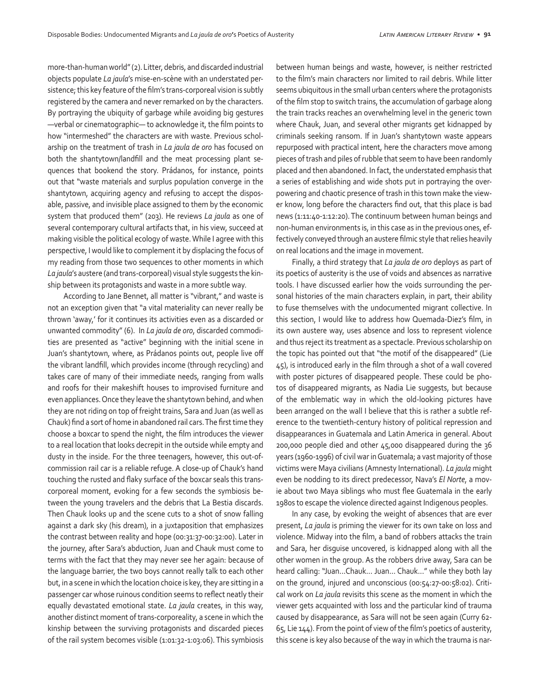more-than-human world" (2). Litter, debris, and discarded industrial objects populate *La jaula*'s mise-en-scène with an understated persistence; this key feature of the film's trans-corporeal vision is subtly registered by the camera and never remarked on by the characters. By portraying the ubiquity of garbage while avoiding big gestures —verbal or cinematographic— to acknowledge it, the film points to how "intermeshed" the characters are with waste. Previous scholarship on the treatment of trash in *La jaula de oro* has focused on both the shantytown/landfill and the meat processing plant sequences that bookend the story. Prádanos, for instance, points out that "waste materials and surplus population converge in the shantytown, acquiring agency and refusing to accept the disposable, passive, and invisible place assigned to them by the economic system that produced them" (203). He reviews *La jaula* as one of several contemporary cultural artifacts that, in his view, succeed at making visible the political ecology of waste. While I agree with this perspective, I would like to complement it by displacing the focus of my reading from those two sequences to other moments in which *La jaula*'s austere (and trans-corporeal) visual style suggests the kinship between its protagonists and waste in a more subtle way.

According to Jane Bennet, all matter is "vibrant," and waste is not an exception given that "a vital materiality can never really be thrown 'away,' for it continues its activities even as a discarded or unwanted commodity" (6). In *La jaula de oro*, discarded commodities are presented as "active" beginning with the initial scene in Juan's shantytown, where, as Prádanos points out, people live off the vibrant landfill, which provides income (through recycling) and takes care of many of their immediate needs, ranging from walls and roofs for their makeshift houses to improvised furniture and even appliances. Once they leave the shantytown behind, and when they are not riding on top of freight trains, Sara and Juan (as well as Chauk) find a sort of home in abandoned rail cars. The first time they choose a boxcar to spend the night, the film introduces the viewer to a real location that looks decrepit in the outside while empty and dusty in the inside. For the three teenagers, however, this out-ofcommission rail car is a reliable refuge. A close-up of Chauk's hand touching the rusted and flaky surface of the boxcar seals this transcorporeal moment, evoking for a few seconds the symbiosis between the young travelers and the debris that La Bestia discards. Then Chauk looks up and the scene cuts to a shot of snow falling against a dark sky (his dream), in a juxtaposition that emphasizes the contrast between reality and hope (00:31:37-00:32:00). Later in the journey, after Sara's abduction, Juan and Chauk must come to terms with the fact that they may never see her again: because of the language barrier, the two boys cannot really talk to each other but, in a scene in which the location choice is key, they are sitting in a passenger car whose ruinous condition seems to reflect neatly their equally devastated emotional state. *La jaula* creates, in this way, another distinct moment of trans-corporeality, a scene in which the kinship between the surviving protagonists and discarded pieces of the rail system becomes visible (1:01:32-1:03:06). This symbiosis between human beings and waste, however, is neither restricted to the film's main characters nor limited to rail debris. While litter seems ubiquitous in the small urban centers where the protagonists of the film stop to switch trains, the accumulation of garbage along the train tracks reaches an overwhelming level in the generic town where Chauk, Juan, and several other migrants get kidnapped by criminals seeking ransom. If in Juan's shantytown waste appears repurposed with practical intent, here the characters move among pieces of trash and piles of rubble that seem to have been randomly placed and then abandoned. In fact, the understated emphasis that a series of establishing and wide shots put in portraying the overpowering and chaotic presence of trash in this town make the viewer know, long before the characters find out, that this place is bad news (1:11:40-1:12:20). The continuum between human beings and non-human environments is, in this case as in the previous ones, effectively conveyed through an austere filmic style that relies heavily on real locations and the image in movement.

Finally, a third strategy that *La jaula de oro* deploys as part of its poetics of austerity is the use of voids and absences as narrative tools. I have discussed earlier how the voids surrounding the personal histories of the main characters explain, in part, their ability to fuse themselves with the undocumented migrant collective. In this section, I would like to address how Quemada-Diez's film, in its own austere way, uses absence and loss to represent violence and thus reject its treatment as a spectacle. Previous scholarship on the topic has pointed out that "the motif of the disappeared" (Lie 45), is introduced early in the film through a shot of a wall covered with poster pictures of disappeared people. These could be photos of disappeared migrants, as Nadia Lie suggests, but because of the emblematic way in which the old-looking pictures have been arranged on the wall I believe that this is rather a subtle reference to the twentieth-century history of political repression and disappearances in Guatemala and Latin America in general. About 200,000 people died and other 45,000 disappeared during the 36 years (1960-1996) of civil war in Guatemala; a vast majority of those victims were Maya civilians (Amnesty International). *La jaula* might even be nodding to its direct predecessor, Nava's *El Norte*, a movie about two Maya siblings who must flee Guatemala in the early 1980s to escape the violence directed against Indigenous peoples.

In any case, by evoking the weight of absences that are ever present, *La jaula* is priming the viewer for its own take on loss and violence. Midway into the film, a band of robbers attacks the train and Sara, her disguise uncovered, is kidnapped along with all the other women in the group. As the robbers drive away, Sara can be heard calling: "Juan…Chauk… Juan… Chauk…" while they both lay on the ground, injured and unconscious (00:54:27-00:58:02). Critical work on *La jaula* revisits this scene as the moment in which the viewer gets acquainted with loss and the particular kind of trauma caused by disappearance, as Sara will not be seen again (Curry 62- 65, Lie 144). From the point of view of the film's poetics of austerity, this scene is key also because of the way in which the trauma is nar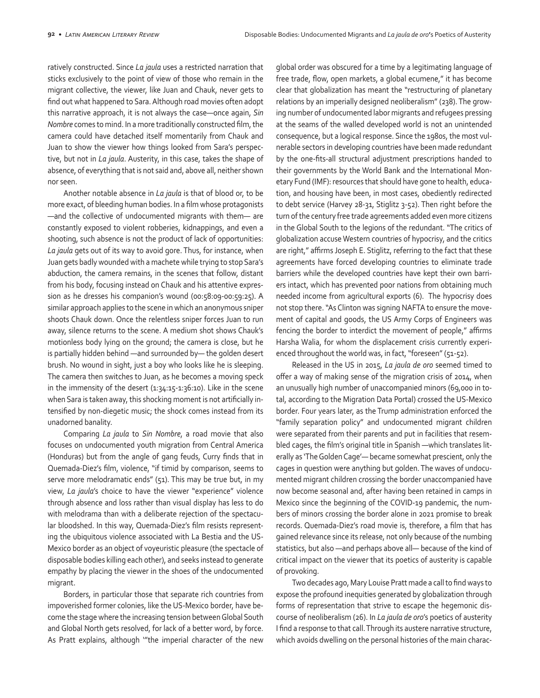ratively constructed. Since *La jaula* uses a restricted narration that sticks exclusively to the point of view of those who remain in the migrant collective, the viewer, like Juan and Chauk, never gets to find out what happened to Sara. Although road movies often adopt this narrative approach, it is not always the case—once again, *Sin Nombre* comes to mind. In a more traditionally constructed film, the camera could have detached itself momentarily from Chauk and Juan to show the viewer how things looked from Sara's perspective, but not in *La jaula*. Austerity, in this case, takes the shape of absence, of everything that is not said and, above all, neither shown nor seen.

Another notable absence in *La jaula* is that of blood or, to be more exact, of bleeding human bodies. In a film whose protagonists —and the collective of undocumented migrants with them— are constantly exposed to violent robberies, kidnappings, and even a shooting, such absence is not the product of lack of opportunities: *La jaula* gets out of its way to avoid gore. Thus, for instance, when Juan gets badly wounded with a machete while trying to stop Sara's abduction, the camera remains, in the scenes that follow, distant from his body, focusing instead on Chauk and his attentive expression as he dresses his companion's wound (00:58:09-00:59:25). A similar approach applies to the scene in which an anonymous sniper shoots Chauk down. Once the relentless sniper forces Juan to run away, silence returns to the scene. A medium shot shows Chauk's motionless body lying on the ground; the camera is close, but he is partially hidden behind —and surrounded by— the golden desert brush. No wound in sight, just a boy who looks like he is sleeping. The camera then switches to Juan, as he becomes a moving speck in the immensity of the desert  $(1:34:15-1:36:10)$ . Like in the scene when Sara is taken away, this shocking moment is not artificially intensified by non-diegetic music; the shock comes instead from its unadorned banality.

Comparing *La jaula* to *Sin Nombre*, a road movie that also focuses on undocumented youth migration from Central America (Honduras) but from the angle of gang feuds, Curry finds that in Quemada-Diez's film, violence, "if timid by comparison, seems to serve more melodramatic ends" (51). This may be true but, in my view, *La jaula*'s choice to have the viewer "experience" violence through absence and loss rather than visual display has less to do with melodrama than with a deliberate rejection of the spectacular bloodshed. In this way, Quemada-Diez's film resists representing the ubiquitous violence associated with La Bestia and the US-Mexico border as an object of voyeuristic pleasure (the spectacle of disposable bodies killing each other), and seeks instead to generate empathy by placing the viewer in the shoes of the undocumented migrant.

Borders, in particular those that separate rich countries from impoverished former colonies, like the US-Mexico border, have become the stage where the increasing tension between Global South and Global North gets resolved, for lack of a better word, by force. As Pratt explains, although '"the imperial character of the new

global order was obscured for a time by a legitimating language of free trade, flow, open markets, a global ecumene," it has become clear that globalization has meant the "restructuring of planetary relations by an imperially designed neoliberalism" (238). The growing number of undocumented labor migrants and refugees pressing at the seams of the walled developed world is not an unintended consequence, but a logical response. Since the 1980s, the most vulnerable sectors in developing countries have been made redundant by the one-fits-all structural adjustment prescriptions handed to their governments by the World Bank and the International Monetary Fund (IMF): resources that should have gone to health, education, and housing have been, in most cases, obediently redirected to debt service (Harvey 28-31, Stiglitz 3-52). Then right before the turn of the century free trade agreements added even more citizens in the Global South to the legions of the redundant. "The critics of globalization accuse Western countries of hypocrisy, and the critics are right," affirms Joseph E. Stiglitz, referring to the fact that these agreements have forced developing countries to eliminate trade barriers while the developed countries have kept their own barriers intact, which has prevented poor nations from obtaining much needed income from agricultural exports (6). The hypocrisy does not stop there. "As Clinton was signing NAFTA to ensure the movement of capital and goods, the US Army Corps of Engineers was fencing the border to interdict the movement of people," affirms Harsha Walia, for whom the displacement crisis currently experienced throughout the world was, in fact, "foreseen" (51-52).

Released in the US in 2015, *La jaula de oro* seemed timed to offer a way of making sense of the migration crisis of 2014, when an unusually high number of unaccompanied minors (69,000 in total, according to the Migration Data Portal) crossed the US-Mexico border. Four years later, as the Trump administration enforced the "family separation policy" and undocumented migrant children were separated from their parents and put in facilities that resembled cages, the film's original title in Spanish —which translates literally as 'The Golden Cage'— became somewhat prescient, only the cages in question were anything but golden. The waves of undocumented migrant children crossing the border unaccompanied have now become seasonal and, after having been retained in camps in Mexico since the beginning of the COVID-19 pandemic, the numbers of minors crossing the border alone in 2021 promise to break records. Quemada-Diez's road movie is, therefore, a film that has gained relevance since its release, not only because of the numbing statistics, but also —and perhaps above all— because of the kind of critical impact on the viewer that its poetics of austerity is capable of provoking.

Two decades ago, Mary Louise Pratt made a call to find ways to expose the profound inequities generated by globalization through forms of representation that strive to escape the hegemonic discourse of neoliberalism (26). In *La jaula de oro*'s poetics of austerity I find a response to that call. Through its austere narrative structure, which avoids dwelling on the personal histories of the main charac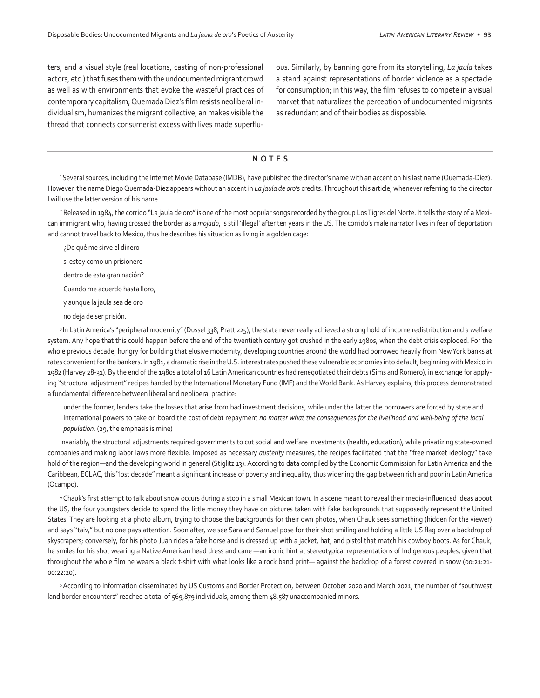ters, and a visual style (real locations, casting of non-professional actors, etc.) that fuses them with the undocumented migrant crowd as well as with environments that evoke the wasteful practices of contemporary capitalism, Quemada Diez's film resists neoliberal individualism, humanizes the migrant collective, an makes visible the thread that connects consumerist excess with lives made superfluous. Similarly, by banning gore from its storytelling, *La jaula* takes a stand against representations of border violence as a spectacle for consumption; in this way, the film refuses to compete in a visual market that naturalizes the perception of undocumented migrants as redundant and of their bodies as disposable.

## **NOTES**

1 Several sources, including the Internet Movie Database (IMDB), have published the director's name with an accent on his last name (Quemada-Díez). However, the name Diego Quemada-Diez appears without an accent in *La jaula de oro*'s credits. Throughout this article, whenever referring to the director I will use the latter version of his name.

<sup>2</sup> Released in 1984, the corrido "La jaula de oro" is one of the most popular songs recorded by the group Los Tigres del Norte. It tells the story of a Mexican immigrant who, having crossed the border as a *mojado*, is still 'illegal' after ten years in the US. The corrido's male narrator lives in fear of deportation and cannot travel back to Mexico, thus he describes his situation as living in a golden cage:

¿De qué me sirve el dinero

si estoy como un prisionero

dentro de esta gran nación?

Cuando me acuerdo hasta lloro,

y aunque la jaula sea de oro

no deja de ser prisión.

<sup>3</sup> In Latin America's "peripheral modernity" (Dussel 338, Pratt 225), the state never really achieved a strong hold of income redistribution and a welfare system. Any hope that this could happen before the end of the twentieth century got crushed in the early 1980s, when the debt crisis exploded. For the whole previous decade, hungry for building that elusive modernity, developing countries around the world had borrowed heavily from New York banks at rates convenient for the bankers. In 1981, a dramatic rise in the U.S. interest ratespushed these vulnerable economies into default, beginning with Mexico in 1982 (Harvey 28-31). By the end of the 1980s a total of 16 Latin American countries had renegotiated their debts (Sims and Romero), in exchange for applying "structural adjustment" recipes handed by the International Monetary Fund (IMF) and the World Bank. As Harvey explains, this process demonstrated a fundamental difference between liberal and neoliberal practice:

under the former, lenders take the losses that arise from bad investment decisions, while under the latter the borrowers are forced by state and international powers to take on board the cost of debt repayment *no matter what the consequences for the livelihood and well-being of the local population.* (29, the emphasis is mine)

Invariably, the structural adjustments required governments to cut social and welfare investments (health, education), while privatizing state-owned companies and making labor laws more flexible. Imposed as necessary *austerity* measures, the recipes facilitated that the "free market ideology" take hold of the region—and the developing world in general (Stiglitz 13). According to data compiled by the Economic Commission for Latin America and the Caribbean, ECLAC, this "lost decade" meant a significant increase of poverty and inequality, thus widening the gap between rich and poor in Latin America (Ocampo).

4 Chauk's first attempt to talk about snow occurs during a stop in a small Mexican town. In a scene meant to reveal their media-influenced ideas about the US, the four youngsters decide to spend the little money they have on pictures taken with fake backgrounds that supposedly represent the United States. They are looking at a photo album, trying to choose the backgrounds for their own photos, when Chauk sees something (hidden for the viewer) and says "taiv," but no one pays attention. Soon after, we see Sara and Samuel pose for their shot smiling and holding a little US flag over a backdrop of skyscrapers; conversely, for his photo Juan rides a fake horse and is dressed up with a jacket, hat, and pistol that match his cowboy boots. As for Chauk, he smiles for his shot wearing a Native American head dress and cane —an ironic hint at stereotypical representations of Indigenous peoples, given that throughout the whole film he wears a black t-shirt with what looks like a rock band print— against the backdrop of a forest covered in snow (00:21:21- 00:22:20).

5 According to information disseminated by US Customs and Border Protection, between October 2020 and March 2021, the number of "southwest land border encounters" reached a total of 569,879 individuals, among them 48,587 unaccompanied minors.